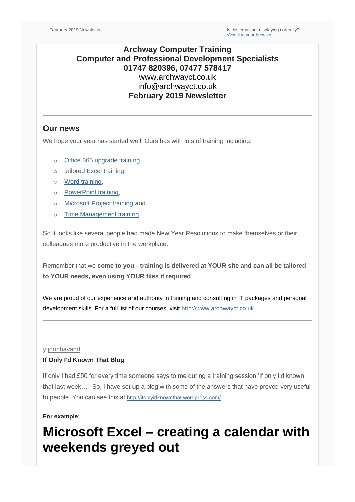## **Archway Computer Training Computer and Professional Development Specialists 01747 820396, 07477 578417** [www.archwayct.co.uk](http://www.archwayct.co.uk/) [info@archwayct.co.uk](mailto:info@archwayct.co.uk) **February 2019 Newsletter**

## **Our news**

We hope your year has started well. Ours has with lots of training including:

- o [Office 365 upgrade training,](http://www.archwayct.co.uk/microsoft-office-training/office-365-upgrade-training)
- o tailored [Excel training,](http://www.archwayct.co.uk/microsoft-office-training/microsoft-excel-training)
- o [Word training,](http://www.archwayct.co.uk/microsoft-office-training/microsoft-word-training)
- o [PowerPoint training,](http://www.archwayct.co.uk/microsoft-office-training/microsoft-powerpoint-training)
- o [Microsoft Project training](http://www.archwayct.co.uk/it-training/microsoft-project-training) and
- o [Time Management training.](http://www.archwayct.co.uk/professional-development-training/time-management-training)

So it looks like several people had made New Year Resolutions to make themselves or their colleagues more productive in the workplace.

Remember that we **come to you - training is delivered at YOUR site and can all be tailored to YOUR needs, even using YOUR files if required**.

We are proud of our experience and authority in training and consulting in IT packages and personal development skills. For a full list of our courses, visit [http://www.archwayct.co.uk.](http://www.archwayct.co.uk/)

#### y [jdonbavand](https://ifonlyidknownthat.wordpress.com/author/jdonbavand/)

### **If Only I'd Known That Blog**

If only I had £50 for every time someone says to me during a training session 'If only I'd known that last week…' So, I have set up a blog with some of the answers that have proved very useful to people. You can see this at <http://ifonlyidknownthat.wordpress.com/>

#### **For example:**

# **Microsoft Excel – creating a calendar with weekends greyed out**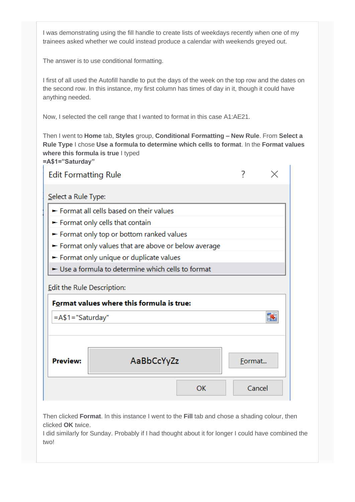I was demonstrating using the fill handle to create lists of weekdays recently when one of my trainees asked whether we could instead produce a calendar with weekends greyed out.

The answer is to use conditional formatting.

I first of all used the Autofill handle to put the days of the week on the top row and the dates on the second row. In this instance, my first column has times of day in it, though it could have anything needed.

Now, I selected the cell range that I wanted to format in this case A1:AE21.

Then I went to **Home** tab, **Styles** group, **Conditional Formatting – New Rule**. From **Select a Rule Type** I chose **Use a formula to determine which cells to format**. In the **Format values where this formula is true** I typed **=A\$1="Saturday"**

| <b>Edit Formatting Rule</b>                                             |            |        |        |  |  |  |  |  |  |
|-------------------------------------------------------------------------|------------|--------|--------|--|--|--|--|--|--|
| Select a Rule Type:                                                     |            |        |        |  |  |  |  |  |  |
| Format all cells based on their values                                  |            |        |        |  |  |  |  |  |  |
| $\blacktriangleright$ Format only cells that contain                    |            |        |        |  |  |  |  |  |  |
| Format only top or bottom ranked values                                 |            |        |        |  |  |  |  |  |  |
| Format only values that are above or below average                      |            |        |        |  |  |  |  |  |  |
| Format only unique or duplicate values                                  |            |        |        |  |  |  |  |  |  |
| Use a formula to determine which cells to format                        |            |        |        |  |  |  |  |  |  |
| Edit the Rule Description:<br>Format values where this formula is true: |            |        |        |  |  |  |  |  |  |
| =A\$1="Saturday"                                                        |            |        |        |  |  |  |  |  |  |
|                                                                         |            |        |        |  |  |  |  |  |  |
|                                                                         |            |        |        |  |  |  |  |  |  |
| <b>Preview:</b>                                                         | AaBbCcYyZz | Format |        |  |  |  |  |  |  |
|                                                                         | <b>OK</b>  |        | Cancel |  |  |  |  |  |  |

Then clicked **Format**. In this instance I went to the **Fill** tab and chose a shading colour, then clicked **OK** twice.

I did similarly for Sunday. Probably if I had thought about it for longer I could have combined the two!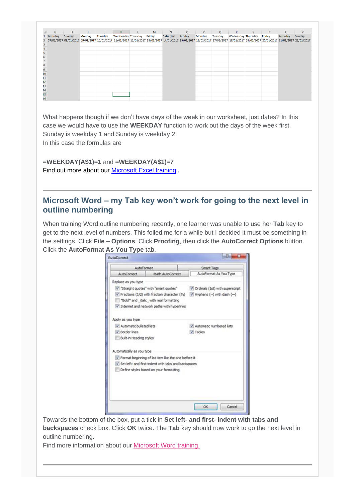|    | G        | H                                                                                                                                                                                          | $\mathbf{L}$ |         | $K$ $=$                   | $\mathsf{L}$ | M      | N        | $\overline{O}$ | P      | Q       | $-$ R $-$                 | S | $\sqrt{1 - 1}$ | $\cup$   | $\mathsf{V}$ |
|----|----------|--------------------------------------------------------------------------------------------------------------------------------------------------------------------------------------------|--------------|---------|---------------------------|--------------|--------|----------|----------------|--------|---------|---------------------------|---|----------------|----------|--------------|
|    | Saturday | Sunday                                                                                                                                                                                     | Monday       | Tuesday | <b>Wednesday Thursday</b> |              | Friday | Saturday | Sunday         | Monday | Tuesday | Wednesday Thursday Friday |   |                | Saturday | Sunday       |
|    |          | 07/01/2017 08/01/2017 09/01/2017 10/01/2017 11/01/2017 12/01/2017 13/01/2017 14/01/2017 15/01/2017 16/01/2017 17/01/2017 17/01/2017 18/01/2017 19/01/2017 20/01/2017 21/01/2017 22/01/2017 |              |         |                           |              |        |          |                |        |         |                           |   |                |          |              |
|    |          |                                                                                                                                                                                            |              |         |                           |              |        |          |                |        |         |                           |   |                |          |              |
|    |          |                                                                                                                                                                                            |              |         |                           |              |        |          |                |        |         |                           |   |                |          |              |
|    |          |                                                                                                                                                                                            |              |         |                           |              |        |          |                |        |         |                           |   |                |          |              |
|    |          |                                                                                                                                                                                            |              |         |                           |              |        |          |                |        |         |                           |   |                |          |              |
|    |          |                                                                                                                                                                                            |              |         |                           |              |        |          |                |        |         |                           |   |                |          |              |
|    |          |                                                                                                                                                                                            |              |         |                           |              |        |          |                |        |         |                           |   |                |          |              |
|    |          |                                                                                                                                                                                            |              |         |                           |              |        |          |                |        |         |                           |   |                |          |              |
| 10 |          |                                                                                                                                                                                            |              |         |                           |              |        |          |                |        |         |                           |   |                |          |              |
|    |          |                                                                                                                                                                                            |              |         |                           |              |        |          |                |        |         |                           |   |                |          |              |
|    |          |                                                                                                                                                                                            |              |         |                           |              |        |          |                |        |         |                           |   |                |          |              |
|    |          |                                                                                                                                                                                            |              |         |                           |              |        |          |                |        |         |                           |   |                |          |              |
|    |          |                                                                                                                                                                                            |              |         |                           |              |        |          |                |        |         |                           |   |                |          |              |
|    |          |                                                                                                                                                                                            |              |         |                           |              |        |          |                |        |         |                           |   |                |          |              |
|    |          |                                                                                                                                                                                            |              |         |                           |              |        |          |                |        |         |                           |   |                |          |              |

What happens though if we don't have days of the week in our worksheet, just dates? In this case we would have to use the **WEEKDAY** function to work out the days of the week first. Sunday is weekday 1 and Sunday is weekday 2. In this case the formulas are

**=WEEKDAY(A\$1)=1** and **=WEEKDAY(A\$1)=7** Find out more about our **Microsoft Excel training**.

# **Microsoft Word – my Tab key won't work for going to the next level in outline numbering**

When training Word outline numbering recently, one learner was unable to use her **Tab** key to get to the next level of numbers. This foiled me for a while but I decided it must be something in the settings. Click **File – Options**. Click **Proofing**, then click the **AutoCorrect Options** button. Click the **AutoFormat As You Type** tab.



Towards the bottom of the box, put a tick in **Set left- and first- indent with tabs and backspaces** check box. Click **OK** twice. The **Tab** key should now work to go the next level in outline numbering.

Find more information about our [Microsoft Word training.](http://www.archwayct.co.uk/microsoft-office-training/microsoft-word-training)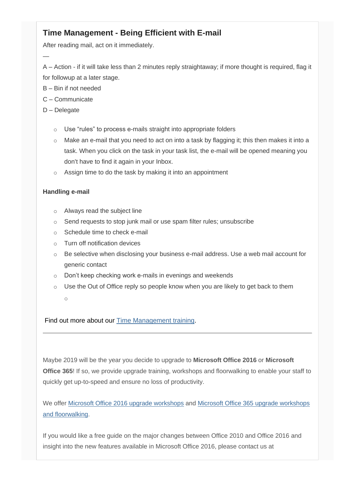# **Time Management - Being Efficient with E-mail**

After reading mail, act on it immediately.

A – Action - if it will take less than 2 minutes reply straightaway; if more thought is required, flag it for followup at a later stage.

- B Bin if not needed
- C Communicate
- D Delegate

—

- o Use "rules" to process e-mails straight into appropriate folders
- o Make an e-mail that you need to act on into a task by flagging it; this then makes it into a task. When you click on the task in your task list, the e-mail will be opened meaning you don't have to find it again in your Inbox.
- o Assign time to do the task by making it into an appointment

## **Handling e-mail**

- o Always read the subject line
- o Send requests to stop junk mail or use spam filter rules; unsubscribe
- o Schedule time to check e-mail
- o Turn off notification devices
- $\circ$  Be selective when disclosing your business e-mail address. Use a web mail account for generic contact
- o Don't keep checking work e-mails in evenings and weekends
- o Use the Out of Office reply so people know when you are likely to get back to them
	- o

Find out more about our [Time Management training.](http://www.archwayct.co.uk/professional-development-training/time-management-training)

Maybe 2019 will be the year you decide to upgrade to **Microsoft Office 2016** or **Microsoft Office 365!** If so, we provide upgrade training, workshops and floorwalking to enable your staff to quickly get up-to-speed and ensure no loss of productivity.

We offer [Microsoft Office 2016 upgrade workshops](http://www.archwayct.co.uk/microsoft-office-training/office-2016-upgrade-training) and [Microsoft Office 365 upgrade workshops](http://www.archwayct.co.uk/microsoft-office-training/office-365-upgrade-training/)  [and floorwalking.](http://www.archwayct.co.uk/microsoft-office-training/office-365-upgrade-training/)

If you would like a free guide on the major changes between Office 2010 and Office 2016 and insight into the new features available in Microsoft Office 2016, please contact us at